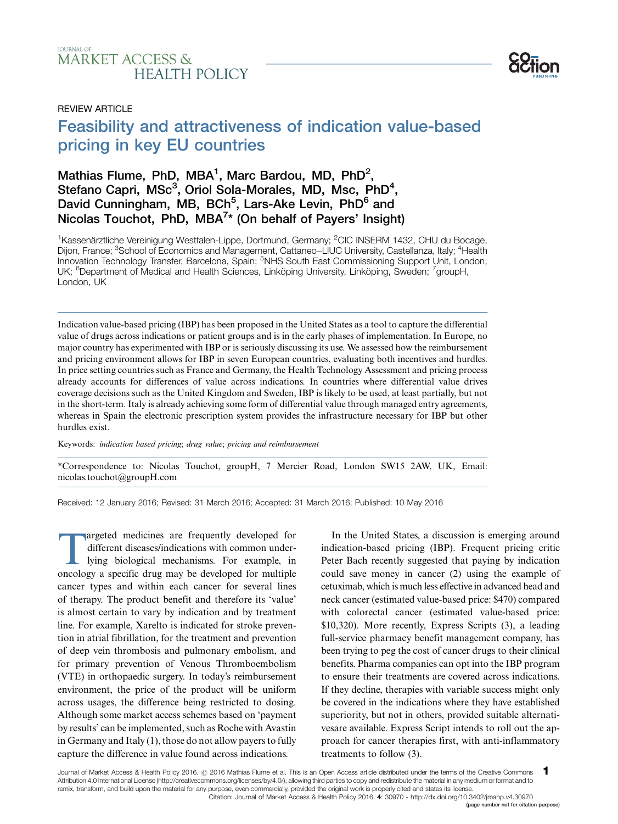# **JOURNAL OF MARKET ACCESS & HEALTH POLICY**



# **REVIEW ARTICLE** Feasibility and attractiveness of indication value-based pricing in key EU countries -

# Mathias Flume, PhD, MBA<sup>1</sup>, Marc Bardou, MD, PhD<sup>2</sup>, Stefano Capri, MSc $^3$ , Oriol Sola-Morales, MD, Msc, PhD $^4$ , David Cunningham, MB, BCh<sup>5</sup>, Lars-Ake Levin, PhD<sup>6</sup> and Nicolas Touchot, PhD, MBA<sup>7</sup>\* (On behalf of Payers' Insight)

<sup>1</sup>Kassenärztliche Vereinigung Westfalen-Lippe, Dortmund, Germany; <sup>2</sup>CIC INSERM 1432, CHU du Bocage, Dijon, France; <sup>3</sup>School of Economics and Management, Cattaneo–LIUC University, Castellanza, Italy; <sup>4</sup>Health Innovation Technology Transfer, Barcelona, Spain; <sup>5</sup>NHS South East Commissioning Support Unit, London, UK; <sup>6</sup>Department of Medical and Health Sciences, Linköping University, Linköping, Sweden; <sup>7</sup>groupH, London, UK

Indication value-based pricing (IBP) has been proposed in the United States as a tool to capture the differential value of drugs across indications or patient groups and is in the early phases of implementation. In Europe, no major country has experimented with IBP or is seriously discussing its use. We assessed how the reimbursement and pricing environment allows for IBP in seven European countries, evaluating both incentives and hurdles. In price setting countries such as France and Germany, the Health Technology Assessment and pricing process already accounts for differences of value across indications. In countries where differential value drives coverage decisions such as the United Kingdom and Sweden, IBP is likely to be used, at least partially, but not in the short-term. Italy is already achieving some form of differential value through managed entry agreements, whereas in Spain the electronic prescription system provides the infrastructure necessary for IBP but other hurdles exist.

Keywords: indication based pricing; drug value; pricing and reimbursement

\*Correspondence to: Nicolas Touchot, groupH, 7 Mercier Road, London SW15 2AW, UK, Email: nicolas.touchot@groupH.com

Received: 12 January 2016; Revised: 31 March 2016; Accepted: 31 March 2016; Published: 10 May 2016

argeted medicines are frequently developed for different diseases/indications with common underlying biological mechanisms. For example, in oncology a specific drug may be developed for multiple cancer types and within each cancer for several lines of therapy. The product benefit and therefore its 'value' is almost certain to vary by indication and by treatment line. For example, Xarelto is indicated for stroke prevention in atrial fibrillation, for the treatment and prevention of deep vein thrombosis and pulmonary embolism, and for primary prevention of Venous Thromboembolism (VTE) in orthopaedic surgery. In today's reimbursement environment, the price of the product will be uniform across usages, the difference being restricted to dosing. Although some market access schemes based on 'payment by results' can be implemented, such as Roche with Avastin in Germany and Italy (1), those do not allow payers to fully capture the difference in value found across indications.

In the United States, a discussion is emerging around indication-based pricing (IBP). Frequent pricing critic Peter Bach recently suggested that paying by indication could save money in cancer (2) using the example of cetuximab, which is much less effective in advanced head and neck cancer (estimated value-based price: \$470) compared with colorectal cancer (estimated value-based price: \$10,320). More recently, Express Scripts (3), a leading full-service pharmacy benefit management company, has been trying to peg the cost of cancer drugs to their clinical benefits. Pharma companies can opt into the IBP program to ensure their treatments are covered across indications. If they decline, therapies with variable success might only be covered in the indications where they have established superiority, but not in others, provided suitable alternativesare available. Express Script intends to roll out the approach for cancer therapies first, with anti-inflammatory treatments to follow (3).

Journal of Market Access & Health Policy 2016. © 2016 Mathias Flume et al. This is an Open Access article distributed under the terms of the Creative Commons Attribution 4.0 International License (<http://creativecommons.org/licenses/by/4.0/>), allowing third parties to copy and redistribute the material in any medium or format and to remix, transform, and build upon the material for any purpose, even commercially, provided the original work is properly cited and states its license. 1 [Citation: Journal of Market Access & Health Policy 2016,](http://www.jmahp.net/index.php/jmahp/article/view/30970) 4: 30970 -<http://dx.doi.org/10.3402/jmahp.v4.30970>

(page number not for citation purpose)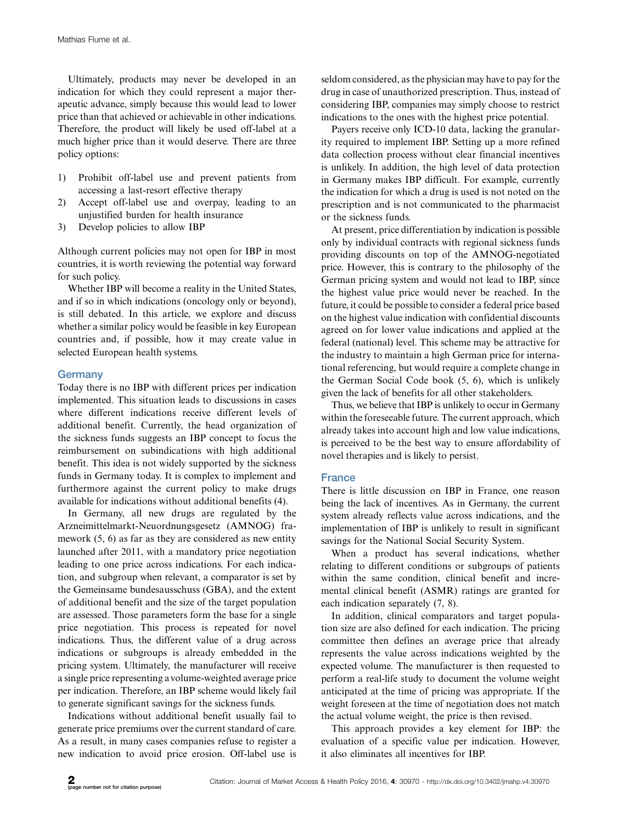Ultimately, products may never be developed in an indication for which they could represent a major therapeutic advance, simply because this would lead to lower price than that achieved or achievable in other indications. Therefore, the product will likely be used off-label at a much higher price than it would deserve. There are three policy options:

- 1) Prohibit off-label use and prevent patients from accessing a last-resort effective therapy
- 2) Accept off-label use and overpay, leading to an unjustified burden for health insurance
- 3) Develop policies to allow IBP

Although current policies may not open for IBP in most countries, it is worth reviewing the potential way forward for such policy.

Whether IBP will become a reality in the United States, and if so in which indications (oncology only or beyond), is still debated. In this article, we explore and discuss whether a similar policy would be feasible in key European countries and, if possible, how it may create value in selected European health systems.

### Germany

Today there is no IBP with different prices per indication implemented. This situation leads to discussions in cases where different indications receive different levels of additional benefit. Currently, the head organization of the sickness funds suggests an IBP concept to focus the reimbursement on subindications with high additional benefit. This idea is not widely supported by the sickness funds in Germany today. It is complex to implement and furthermore against the current policy to make drugs available for indications without additional benefits (4).

In Germany, all new drugs are regulated by the Arzneimittelmarkt-Neuordnungsgesetz (AMNOG) framework (5, 6) as far as they are considered as new entity launched after 2011, with a mandatory price negotiation leading to one price across indications. For each indication, and subgroup when relevant, a comparator is set by the Gemeinsame bundesausschuss (GBA), and the extent of additional benefit and the size of the target population are assessed. Those parameters form the base for a single price negotiation. This process is repeated for novel indications. Thus, the different value of a drug across indications or subgroups is already embedded in the pricing system. Ultimately, the manufacturer will receive a single price representing avolume-weighted average price per indication. Therefore, an IBP scheme would likely fail to generate significant savings for the sickness funds.

Indications without additional benefit usually fail to generate price premiums over the current standard of care. As a result, in many cases companies refuse to register a new indication to avoid price erosion. Off-label use is seldom considered, as the physician may have to pay for the drug in case of unauthorized prescription. Thus, instead of considering IBP, companies may simply choose to restrict indications to the ones with the highest price potential.

Payers receive only ICD-10 data, lacking the granularity required to implement IBP. Setting up a more refined data collection process without clear financial incentives is unlikely. In addition, the high level of data protection in Germany makes IBP difficult. For example, currently the indication for which a drug is used is not noted on the prescription and is not communicated to the pharmacist or the sickness funds.

At present, price differentiation by indication is possible only by individual contracts with regional sickness funds providing discounts on top of the AMNOG-negotiated price. However, this is contrary to the philosophy of the German pricing system and would not lead to IBP, since the highest value price would never be reached. In the future, it could be possible to consider a federal price based on the highest value indication with confidential discounts agreed on for lower value indications and applied at the federal (national) level. This scheme may be attractive for the industry to maintain a high German price for international referencing, but would require a complete change in the German Social Code book (5, 6), which is unlikely given the lack of benefits for all other stakeholders.

Thus, we believe that IBP is unlikely to occur in Germany within the foreseeable future. The current approach, which already takes into account high and low value indications, is perceived to be the best way to ensure affordability of novel therapies and is likely to persist.

# **France**

There is little discussion on IBP in France, one reason being the lack of incentives. As in Germany, the current system already reflects value across indications, and the implementation of IBP is unlikely to result in significant savings for the National Social Security System.

When a product has several indications, whether relating to different conditions or subgroups of patients within the same condition, clinical benefit and incremental clinical benefit (ASMR) ratings are granted for each indication separately (7, 8).

In addition, clinical comparators and target population size are also defined for each indication. The pricing committee then defines an average price that already represents the value across indications weighted by the expected volume. The manufacturer is then requested to perform a real-life study to document the volume weight anticipated at the time of pricing was appropriate. If the weight foreseen at the time of negotiation does not match the actual volume weight, the price is then revised.

This approach provides a key element for IBP: the evaluation of a specific value per indication. However, it also eliminates all incentives for IBP.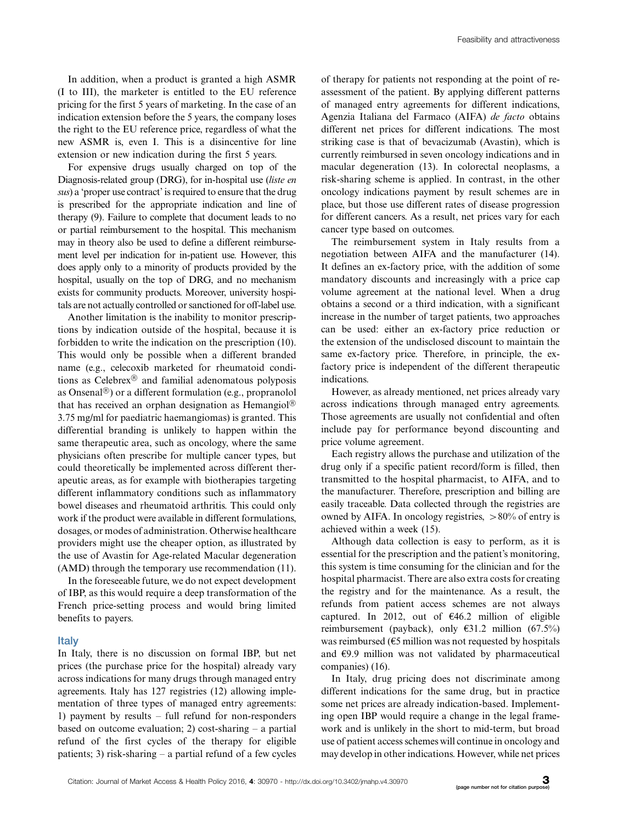In addition, when a product is granted a high ASMR (I to III), the marketer is entitled to the EU reference pricing for the first 5 years of marketing. In the case of an indication extension before the 5 years, the company loses the right to the EU reference price, regardless of what the new ASMR is, even I. This is a disincentive for line extension or new indication during the first 5 years.

For expensive drugs usually charged on top of the Diagnosis-related group (DRG), for in-hospital use (liste en sus) a 'proper use contract' is required to ensure that the drug is prescribed for the appropriate indication and line of therapy (9). Failure to complete that document leads to no or partial reimbursement to the hospital. This mechanism may in theory also be used to define a different reimbursement level per indication for in-patient use. However, this does apply only to a minority of products provided by the hospital, usually on the top of DRG, and no mechanism exists for community products. Moreover, university hospitals are not actually controlled or sanctioned for off-label use.

Another limitation is the inability to monitor prescriptions by indication outside of the hospital, because it is forbidden to write the indication on the prescription (10). This would only be possible when a different branded name (e.g., celecoxib marketed for rheumatoid conditions as Celebrex $\mathcal{B}$  and familial adenomatous polyposis as Onsenal†) or a different formulation (e.g., propranolol that has received an orphan designation as Hemangiol<sup>®</sup> 3.75 mg/ml for paediatric haemangiomas) is granted. This differential branding is unlikely to happen within the same therapeutic area, such as oncology, where the same physicians often prescribe for multiple cancer types, but could theoretically be implemented across different therapeutic areas, as for example with biotherapies targeting different inflammatory conditions such as inflammatory bowel diseases and rheumatoid arthritis. This could only work if the product were available in different formulations, dosages, or modes of administration. Otherwise healthcare providers might use the cheaper option, as illustrated by the use of Avastin for Age-related Macular degeneration (AMD) through the temporary use recommendation (11).

In the foreseeable future, we do not expect development of IBP, as this would require a deep transformation of the French price-setting process and would bring limited benefits to payers.

### Italy

In Italy, there is no discussion on formal IBP, but net prices (the purchase price for the hospital) already vary across indications for many drugs through managed entry agreements. Italy has 127 registries (12) allowing implementation of three types of managed entry agreements: 1) payment by results - full refund for non-responders based on outcome evaluation; 2) cost-sharing – a partial refund of the first cycles of the therapy for eligible patients; 3) risk-sharing - a partial refund of a few cycles

of therapy for patients not responding at the point of reassessment of the patient. By applying different patterns of managed entry agreements for different indications, Agenzia Italiana del Farmaco (AIFA) de facto obtains different net prices for different indications. The most striking case is that of bevacizumab (Avastin), which is currently reimbursed in seven oncology indications and in macular degeneration (13). In colorectal neoplasms, a risk-sharing scheme is applied. In contrast, in the other oncology indications payment by result schemes are in place, but those use different rates of disease progression for different cancers. As a result, net prices vary for each cancer type based on outcomes.

The reimbursement system in Italy results from a negotiation between AIFA and the manufacturer (14). It defines an ex-factory price, with the addition of some mandatory discounts and increasingly with a price cap volume agreement at the national level. When a drug obtains a second or a third indication, with a significant increase in the number of target patients, two approaches can be used: either an ex-factory price reduction or the extension of the undisclosed discount to maintain the same ex-factory price. Therefore, in principle, the exfactory price is independent of the different therapeutic indications.

However, as already mentioned, net prices already vary across indications through managed entry agreements. Those agreements are usually not confidential and often include pay for performance beyond discounting and price volume agreement.

Each registry allows the purchase and utilization of the drug only if a specific patient record/form is filled, then transmitted to the hospital pharmacist, to AIFA, and to the manufacturer. Therefore, prescription and billing are easily traceable. Data collected through the registries are owned by AIFA. In oncology registries,  $> 80\%$  of entry is achieved within a week (15).

Although data collection is easy to perform, as it is essential for the prescription and the patient's monitoring, this system is time consuming for the clinician and for the hospital pharmacist. There are also extra costs for creating the registry and for the maintenance. As a result, the refunds from patient access schemes are not always captured. In 2012, out of  $€46.2$  million of eligible reimbursement (payback), only  $\epsilon$ 31.2 million (67.5%) was reimbursed ( $\epsilon$ 5 million was not requested by hospitals and  $\epsilon$ 9.9 million was not validated by pharmaceutical companies) (16).

In Italy, drug pricing does not discriminate among different indications for the same drug, but in practice some net prices are already indication-based. Implementing open IBP would require a change in the legal framework and is unlikely in the short to mid-term, but broad use of patient access schemes will continue in oncology and may develop in other indications. However, while net prices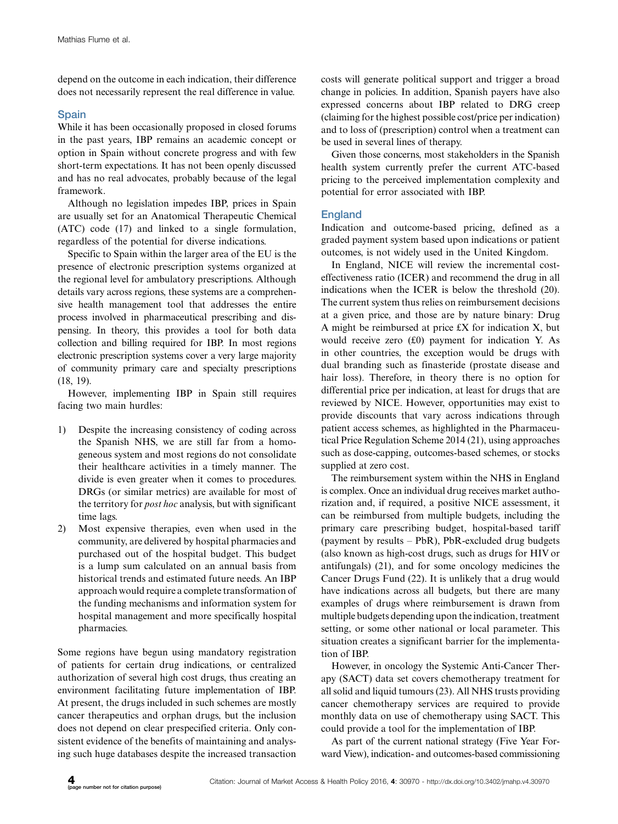depend on the outcome in each indication, their difference does not necessarily represent the real difference in value.

# Spain

While it has been occasionally proposed in closed forums in the past years, IBP remains an academic concept or option in Spain without concrete progress and with few short-term expectations. It has not been openly discussed and has no real advocates, probably because of the legal framework.

Although no legislation impedes IBP, prices in Spain are usually set for an Anatomical Therapeutic Chemical (ATC) code (17) and linked to a single formulation, regardless of the potential for diverse indications.

Specific to Spain within the larger area of the EU is the presence of electronic prescription systems organized at the regional level for ambulatory prescriptions. Although details vary across regions, these systems are a comprehensive health management tool that addresses the entire process involved in pharmaceutical prescribing and dispensing. In theory, this provides a tool for both data collection and billing required for IBP. In most regions electronic prescription systems cover a very large majority of community primary care and specialty prescriptions (18, 19).

However, implementing IBP in Spain still requires facing two main hurdles:

- 1) Despite the increasing consistency of coding across the Spanish NHS, we are still far from a homogeneous system and most regions do not consolidate their healthcare activities in a timely manner. The divide is even greater when it comes to procedures. DRGs (or similar metrics) are available for most of the territory for post hoc analysis, but with significant time lags.
- 2) Most expensive therapies, even when used in the community, are delivered by hospital pharmacies and purchased out of the hospital budget. This budget is a lump sum calculated on an annual basis from historical trends and estimated future needs. An IBP approach would require a complete transformation of the funding mechanisms and information system for hospital management and more specifically hospital pharmacies.

Some regions have begun using mandatory registration of patients for certain drug indications, or centralized authorization of several high cost drugs, thus creating an environment facilitating future implementation of IBP. At present, the drugs included in such schemes are mostly cancer therapeutics and orphan drugs, but the inclusion does not depend on clear prespecified criteria. Only consistent evidence of the benefits of maintaining and analysing such huge databases despite the increased transaction

costs will generate political support and trigger a broad change in policies. In addition, Spanish payers have also expressed concerns about IBP related to DRG creep (claiming for the highest possible cost/price per indication) and to loss of (prescription) control when a treatment can be used in several lines of therapy.

Given those concerns, most stakeholders in the Spanish health system currently prefer the current ATC-based pricing to the perceived implementation complexity and potential for error associated with IBP.

# **England**

Indication and outcome-based pricing, defined as a graded payment system based upon indications or patient outcomes, is not widely used in the United Kingdom.

In England, NICE will review the incremental costeffectiveness ratio (ICER) and recommend the drug in all indications when the ICER is below the threshold (20). The current system thus relies on reimbursement decisions at a given price, and those are by nature binary: Drug A might be reimbursed at price £X for indication X, but would receive zero (£0) payment for indication Y. As in other countries, the exception would be drugs with dual branding such as finasteride (prostate disease and hair loss). Therefore, in theory there is no option for differential price per indication, at least for drugs that are reviewed by NICE. However, opportunities may exist to provide discounts that vary across indications through patient access schemes, as highlighted in the Pharmaceutical Price Regulation Scheme 2014 (21), using approaches such as dose-capping, outcomes-based schemes, or stocks supplied at zero cost.

The reimbursement system within the NHS in England is complex. Once an individual drug receives market authorization and, if required, a positive NICE assessment, it can be reimbursed from multiple budgets, including the primary care prescribing budget, hospital-based tariff (payment by results - PbR), PbR-excluded drug budgets (also known as high-cost drugs, such as drugs for HIV or antifungals) (21), and for some oncology medicines the Cancer Drugs Fund (22). It is unlikely that a drug would have indications across all budgets, but there are many examples of drugs where reimbursement is drawn from multiple budgets depending upon the indication, treatment setting, or some other national or local parameter. This situation creates a significant barrier for the implementation of IBP.

However, in oncology the Systemic Anti-Cancer Therapy (SACT) data set covers chemotherapy treatment for all solid and liquid tumours (23). All NHS trusts providing cancer chemotherapy services are required to provide monthly data on use of chemotherapy using SACT. This could provide a tool for the implementation of IBP.

As part of the current national strategy (Five Year Forward View), indication- and outcomes-based commissioning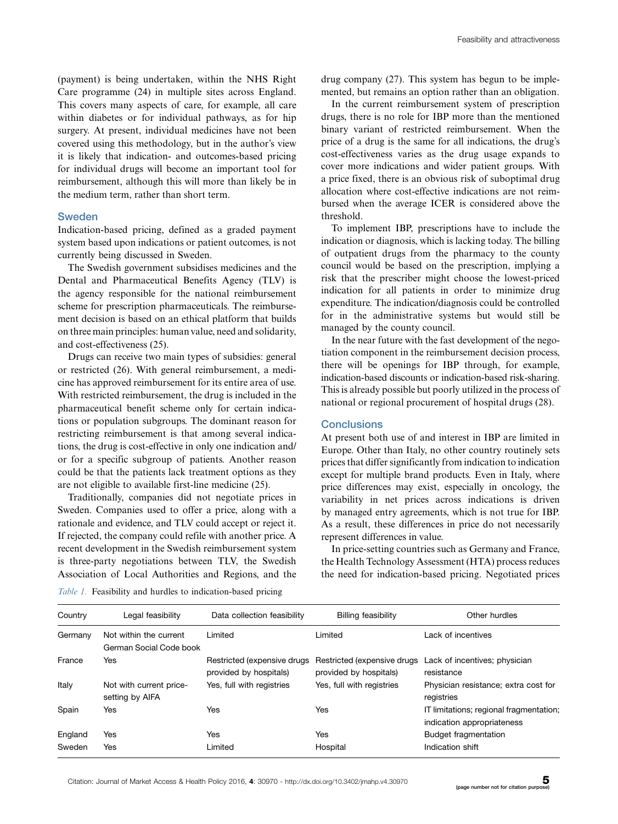(payment) is being undertaken, within the NHS Right Care programme (24) in multiple sites across England. This covers many aspects of care, for example, all care within diabetes or for individual pathways, as for hip surgery. At present, individual medicines have not been covered using this methodology, but in the author's view it is likely that indication- and outcomes-based pricing for individual drugs will become an important tool for reimbursement, although this will more than likely be in the medium term, rather than short term.

### Sweden

Indication-based pricing, defined as a graded payment system based upon indications or patient outcomes, is not currently being discussed in Sweden.

The Swedish government subsidises medicines and the Dental and Pharmaceutical Benefits Agency (TLV) is the agency responsible for the national reimbursement scheme for prescription pharmaceuticals. The reimbursement decision is based on an ethical platform that builds on three main principles: human value, need and solidarity, and cost-effectiveness (25).

Drugs can receive two main types of subsidies: general or restricted (26). With general reimbursement, a medicine has approved reimbursement for its entire area of use. With restricted reimbursement, the drug is included in the pharmaceutical benefit scheme only for certain indications or population subgroups. The dominant reason for restricting reimbursement is that among several indications, the drug is cost-effective in only one indication and/ or for a specific subgroup of patients. Another reason could be that the patients lack treatment options as they are not eligible to available first-line medicine (25).

Traditionally, companies did not negotiate prices in Sweden. Companies used to offer a price, along with a rationale and evidence, and TLV could accept or reject it. If rejected, the company could refile with another price. A recent development in the Swedish reimbursement system is three-party negotiations between TLV, the Swedish Association of Local Authorities and Regions, and the drug company (27). This system has begun to be implemented, but remains an option rather than an obligation.

In the current reimbursement system of prescription drugs, there is no role for IBP more than the mentioned binary variant of restricted reimbursement. When the price of a drug is the same for all indications, the drug's cost-effectiveness varies as the drug usage expands to cover more indications and wider patient groups. With a price fixed, there is an obvious risk of suboptimal drug allocation where cost-effective indications are not reimbursed when the average ICER is considered above the threshold.

To implement IBP, prescriptions have to include the indication or diagnosis, which is lacking today. The billing of outpatient drugs from the pharmacy to the county council would be based on the prescription, implying a risk that the prescriber might choose the lowest-priced indication for all patients in order to minimize drug expenditure. The indication/diagnosis could be controlled for in the administrative systems but would still be managed by the county council.

In the near future with the fast development of the negotiation component in the reimbursement decision process, there will be openings for IBP through, for example, indication-based discounts or indication-based risk-sharing. This is already possible but poorly utilized in the process of national or regional procurement of hospital drugs (28).

### **Conclusions**

At present both use of and interest in IBP are limited in Europe. Other than Italy, no other country routinely sets prices that differ significantly from indication to indication except for multiple brand products. Even in Italy, where price differences may exist, especially in oncology, the variability in net prices across indications is driven by managed entry agreements, which is not true for IBP. As a result, these differences in price do not necessarily represent differences in value.

In price-setting countries such as Germany and France, the Health Technology Assessment (HTA) process reduces the need for indication-based pricing. Negotiated prices

Table 1. Feasibility and hurdles to indication-based pricing

| Country | Legal feasibility                                 | Data collection feasibility                            | Billing feasibility                                   | Other hurdles                                                         |
|---------|---------------------------------------------------|--------------------------------------------------------|-------------------------------------------------------|-----------------------------------------------------------------------|
| Germany | Not within the current<br>German Social Code book | Limited                                                | Limited                                               | Lack of incentives                                                    |
| France  | Yes                                               | Restricted (expensive drugs)<br>provided by hospitals) | Restricted (expensive drugs<br>provided by hospitals) | Lack of incentives; physician<br>resistance                           |
| Italy   | Not with current price-<br>setting by AIFA        | Yes, full with registries                              | Yes, full with reaistries                             | Physician resistance; extra cost for<br>registries                    |
| Spain   | Yes                                               | Yes                                                    | Yes                                                   | IT limitations; regional fragmentation;<br>indication appropriateness |
| England | Yes                                               | Yes                                                    | Yes                                                   | <b>Budget fragmentation</b>                                           |
| Sweden  | Yes                                               | Limited                                                | Hospital                                              | Indication shift                                                      |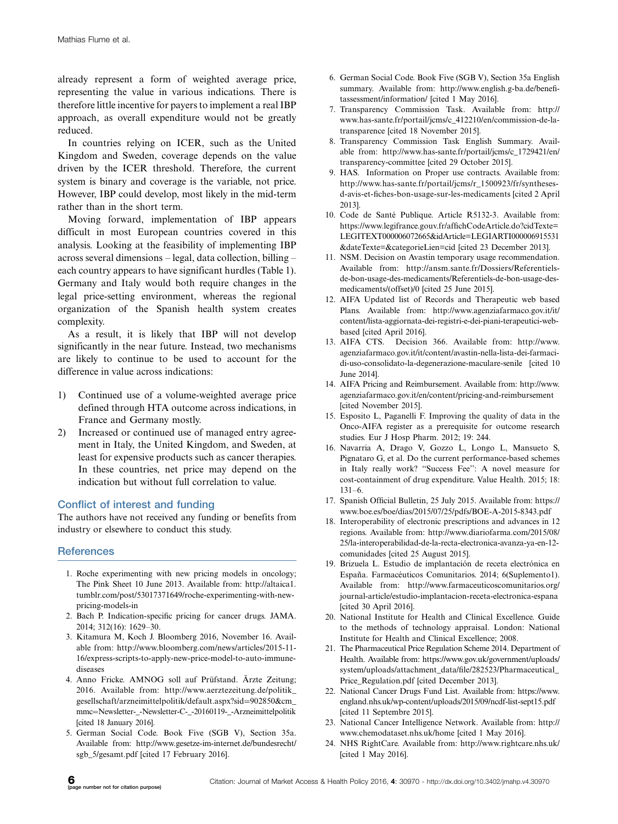already represent a form of weighted average price, representing the value in various indications. There is therefore little incentive for payers to implement a real IBP approach, as overall expenditure would not be greatly reduced.

In countries relying on ICER, such as the United Kingdom and Sweden, coverage depends on the value driven by the ICER threshold. Therefore, the current system is binary and coverage is the variable, not price. However, IBP could develop, most likely in the mid-term rather than in the short term.

Moving forward, implementation of IBP appears difficult in most European countries covered in this analysis. Looking at the feasibility of implementing IBP across several dimensions – legal, data collection, billing – each country appears to have significant hurdles (Table 1). Germany and Italy would both require changes in the legal price-setting environment, whereas the regional organization of the Spanish health system creates complexity.

As a result, it is likely that IBP will not develop significantly in the near future. Instead, two mechanisms are likely to continue to be used to account for the difference in value across indications:

- 1) Continued use of a volume-weighted average price defined through HTA outcome across indications, in France and Germany mostly.
- 2) Increased or continued use of managed entry agreement in Italy, the United Kingdom, and Sweden, at least for expensive products such as cancer therapies. In these countries, net price may depend on the indication but without full correlation to value.

## Conflict of interest and funding

The authors have not received any funding or benefits from industry or elsewhere to conduct this study.

### References

- 1. Roche experimenting with new pricing models in oncology; The Pink Sheet 10 June 2013. Available from: [http://altaica1.](http://altaica1.tumblr.com/post/53017371649/roche-experimenting-with-new-pricing-models-in) [tumblr.com/post/53017371649/roche-experimenting-with-new](http://altaica1.tumblr.com/post/53017371649/roche-experimenting-with-new-pricing-models-in)[pricing-models-in](http://altaica1.tumblr.com/post/53017371649/roche-experimenting-with-new-pricing-models-in)
- 2. Bach P. Indication-specific pricing for cancer drugs. JAMA. 2014; 312(16): 1629-30.
- 3. Kitamura M, Koch J. Bloomberg 2016, November 16. Available from: [http://www.bloomberg.com/news/articles/2015-11-](http://www.bloomberg.com/news/articles/2015-11-16/express-scripts-to-apply-new-price-model-to-auto-immune-diseases) [16/express-scripts-to-apply-new-price-model-to-auto-immune](http://www.bloomberg.com/news/articles/2015-11-16/express-scripts-to-apply-new-price-model-to-auto-immune-diseases)[diseases](http://www.bloomberg.com/news/articles/2015-11-16/express-scripts-to-apply-new-price-model-to-auto-immune-diseases)
- 4. Anno Fricke. AMNOG soll auf Prüfstand. Ärzte Zeitung; 2016. Available from: [http://www.aerztezeitung.de/politik\\_](http://www.aerztezeitung.de/politik_gesellschaft/arzneimittelpolitik/default.aspx?sid=902850&cm_mmc=Newsletter-_-Newsletter-C-_-20160119-_-Arzneimittelpolitik) [gesellschaft/arzneimittelpolitik/default.aspx?sid](http://www.aerztezeitung.de/politik_gesellschaft/arzneimittelpolitik/default.aspx?sid=902850&cm_mmc=Newsletter-_-Newsletter-C-_-20160119-_-Arzneimittelpolitik)=[902850&cm\\_](http://www.aerztezeitung.de/politik_gesellschaft/arzneimittelpolitik/default.aspx?sid=902850&cm_mmc=Newsletter-_-Newsletter-C-_-20160119-_-Arzneimittelpolitik) [mmc](http://www.aerztezeitung.de/politik_gesellschaft/arzneimittelpolitik/default.aspx?sid=902850&cm_mmc=Newsletter-_-Newsletter-C-_-20160119-_-Arzneimittelpolitik)=[Newsletter-\\_-Newsletter-C-\\_-20160119-\\_-Arzneimittelpolitik](http://www.aerztezeitung.de/politik_gesellschaft/arzneimittelpolitik/default.aspx?sid=902850&cm_mmc=Newsletter-_-Newsletter-C-_-20160119-_-Arzneimittelpolitik) [cited 18 January 2016].
- 5. German Social Code. Book Five (SGB V), Section 35a. Available from: [http://www.gesetze-im-internet.de/bundesrecht/](http://www.gesetze-im-internet.de/bundesrecht/sgb_5/gesamt.pdf) [sgb\\_5/gesamt.pdf](http://www.gesetze-im-internet.de/bundesrecht/sgb_5/gesamt.pdf) [cited 17 February 2016].
- 6. German Social Code. Book Five (SGB V), Section 35a English summary. Available from: [http://www.english.g-ba.de/benefi](http://www.english.g-ba.de/benefitassessment/information/)[tassessment/information/](http://www.english.g-ba.de/benefitassessment/information/) [cited 1 May 2016].
- 7. Transparency Commission Task. Available from: [http://](http://www.has-sante.fr/portail/jcms/c_412210/en/commission-de-la-transparence) [www.has-sante.fr/portail/jcms/c\\_412210/en/commission-de-la](http://www.has-sante.fr/portail/jcms/c_412210/en/commission-de-la-transparence)[transparence](http://www.has-sante.fr/portail/jcms/c_412210/en/commission-de-la-transparence) [cited 18 November 2015].
- 8. Transparency Commission Task English Summary. Available from: [http://www.has-sante.fr/portail/jcms/c\\_1729421/en/](http://www.has-sante.fr/portail/jcms/c_1729421/en/transparency-committee) [transparency-committee](http://www.has-sante.fr/portail/jcms/c_1729421/en/transparency-committee) [cited 29 October 2015].
- 9. HAS. Information on Proper use contracts. Available from: [http://www.has-sante.fr/portail/jcms/r\\_1500923/fr/syntheses](http://www.has-sante.fr/portail/jcms/r_1500923/fr/syntheses-d-avis-et-fiches-bon-usage-sur-les-medicaments)[d-avis-et-fiches-bon-usage-sur-les-medicaments](http://www.has-sante.fr/portail/jcms/r_1500923/fr/syntheses-d-avis-et-fiches-bon-usage-sur-les-medicaments) [cited 2 April 2013].
- 10. Code de Santé Publique. Article R5132-3. Available from: [https://www.legifrance.gouv.fr/affichCodeArticle.do?cidTexte=](https://www.legifrance.gouv.fr/affichCodeArticle.do?cidTexte=LEGITEXT000006072665&idArticle=LEGIARTI000006915531&dateTexte=&categorieLien=cid) [LEGITEXT000006072665&idArticle=LEGIARTI000006915531](https://www.legifrance.gouv.fr/affichCodeArticle.do?cidTexte=LEGITEXT000006072665&idArticle=LEGIARTI000006915531&dateTexte=&categorieLien=cid) [&dateTexte=&categorieLien=cid](https://www.legifrance.gouv.fr/affichCodeArticle.do?cidTexte=LEGITEXT000006072665&idArticle=LEGIARTI000006915531&dateTexte=&categorieLien=cid) [cited 23 December 2013].
- 11. NSM. Decision on Avastin temporary usage recommendation. Available from: [http://ansm.sante.fr/Dossiers/Referentiels](http://ansm.sante.fr/Dossiers/Referentiels-de-bon-usage-des-medicaments/Referentiels-de-bon-usage-des-medicaments/(offset)/0)[de-bon-usage-des-medicaments/Referentiels-de-bon-usage-des](http://ansm.sante.fr/Dossiers/Referentiels-de-bon-usage-des-medicaments/Referentiels-de-bon-usage-des-medicaments/(offset)/0)[medicaments/\(offset\)/0](http://ansm.sante.fr/Dossiers/Referentiels-de-bon-usage-des-medicaments/Referentiels-de-bon-usage-des-medicaments/(offset)/0) [cited 25 June 2015].
- 12. AIFA Updated list of Records and Therapeutic web based Plans. Available from: [http://www.agenziafarmaco.gov.it/it/](http://www.agenziafarmaco.gov.it/it/content/lista-aggiornata-dei-registri-e-dei-piani-terapeutici-web-based) [content/lista-aggiornata-dei-registri-e-dei-piani-terapeutici-web](http://www.agenziafarmaco.gov.it/it/content/lista-aggiornata-dei-registri-e-dei-piani-terapeutici-web-based)[based](http://www.agenziafarmaco.gov.it/it/content/lista-aggiornata-dei-registri-e-dei-piani-terapeutici-web-based) [cited April 2016].
- 13. AIFA CTS. Decision 366. Available from: [http://www.](http://www.agenziafarmaco.gov.it/it/content/avastin-nella-lista-dei-farmaci-di-uso-consolidato-la-degenerazione-maculare-senile ) [agenziafarmaco.gov.it/it/content/avastin-nella-lista-dei-farmaci](http://www.agenziafarmaco.gov.it/it/content/avastin-nella-lista-dei-farmaci-di-uso-consolidato-la-degenerazione-maculare-senile )[di-uso-consolidato-la-degenerazione-maculare-senile](http://www.agenziafarmaco.gov.it/it/content/avastin-nella-lista-dei-farmaci-di-uso-consolidato-la-degenerazione-maculare-senile ) [cited 10 June 2014].
- 14. AIFA Pricing and Reimbursement. Available from: [http://www.](http://www.agenziafarmaco.gov.it/en/content/pricing-and-reimbursement) [agenziafarmaco.gov.it/en/content/pricing-and-reimbursement](http://www.agenziafarmaco.gov.it/en/content/pricing-and-reimbursement) [cited November 2015].
- 15. Esposito L, Paganelli F. Improving the quality of data in the Onco-AIFA register as a prerequisite for outcome research studies. Eur J Hosp Pharm. 2012; 19: 244.
- 16. Navarria A, Drago V, Gozzo L, Longo L, Mansueto S, Pignataro G, et al. Do the current performance-based schemes in Italy really work? ''Success Fee'': A novel measure for cost-containment of drug expenditure. Value Health. 2015; 18: 131-6.
- 17. Spanish Official Bulletin, 25 July 2015. Available from: [https://](https://www.boe.es/boe/dias/2015/07/25/pdfs/BOE-A-2015-8343.pdf) [www.boe.es/boe/dias/2015/07/25/pdfs/BOE-A-2015-8343.pdf](https://www.boe.es/boe/dias/2015/07/25/pdfs/BOE-A-2015-8343.pdf)
- 18. Interoperability of electronic prescriptions and advances in 12 regions. Available from: [http://www.diariofarma.com/2015/08/](http://www.diariofarma.com/2015/08/25/la-interoperabilidad-de-la-recta-electronica-avanza-ya-en-12-comunidades) [25/la-interoperabilidad-de-la-recta-electronica-avanza-ya-en-12](http://www.diariofarma.com/2015/08/25/la-interoperabilidad-de-la-recta-electronica-avanza-ya-en-12-comunidades) [comunidades](http://www.diariofarma.com/2015/08/25/la-interoperabilidad-de-la-recta-electronica-avanza-ya-en-12-comunidades) [cited 25 August 2015].
- 19. Brizuela L. Estudio de implantación de receta electrónica en España. Farmacéuticos Comunitarios. 2014; 6(Suplemento1). Available from: [http://www.farmaceuticoscomunitarios.org/](http://www.farmaceuticoscomunitarios.org/journal-article/estudio-implantacion-receta-electronica-espana) [journal-article/estudio-implantacion-receta-electronica-espana](http://www.farmaceuticoscomunitarios.org/journal-article/estudio-implantacion-receta-electronica-espana) [cited 30 April 2016].
- 20. National Institute for Health and Clinical Excellence. Guide to the methods of technology appraisal. London: National Institute for Health and Clinical Excellence; 2008.
- 21. The Pharmaceutical Price Regulation Scheme 2014. Department of Health. Available from: [https://www.gov.uk/government/uploads/](https://www.gov.uk/government/uploads/system/uploads/attachment_data/file/282523/Pharmaceutical_Price_Regulation.pdf) [system/uploads/attachment\\_data/file/282523/Pharmaceutical\\_](https://www.gov.uk/government/uploads/system/uploads/attachment_data/file/282523/Pharmaceutical_Price_Regulation.pdf) [Price\\_Regulation.pdf](https://www.gov.uk/government/uploads/system/uploads/attachment_data/file/282523/Pharmaceutical_Price_Regulation.pdf) [cited December 2013].
- 22. National Cancer Drugs Fund List. Available from: [https://www.](https://www.england.nhs.uk/wp-content/uploads/2015/09/ncdf-list-sept15.pdf) [england.nhs.uk/wp-content/uploads/2015/09/ncdf-list-sept15.pdf](https://www.england.nhs.uk/wp-content/uploads/2015/09/ncdf-list-sept15.pdf) [cited 11 Septembre 2015].
- 23. National Cancer Intelligence Network. Available from: [http://](http://www.chemodataset.nhs.uk/home) [www.chemodataset.nhs.uk/home](http://www.chemodataset.nhs.uk/home) [cited 1 May 2016].
- 24. NHS RightCare. Available from:<http://www.rightcare.nhs.uk/> [cited 1 May 2016].